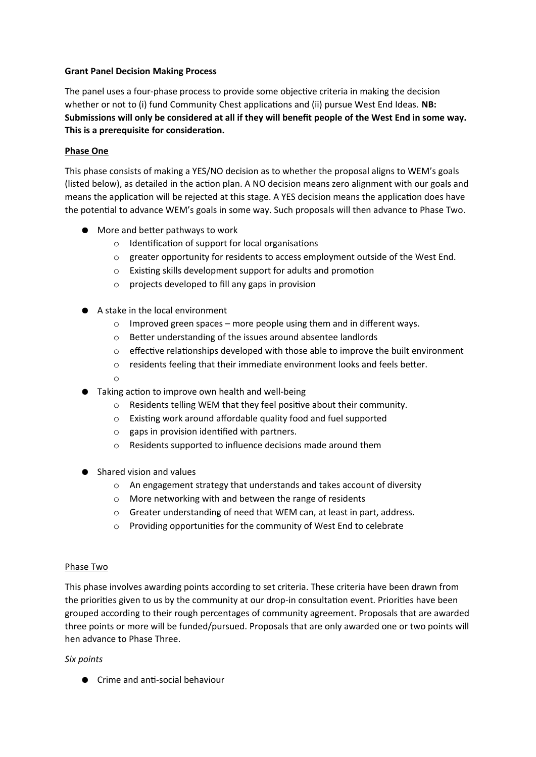# **Grant Panel Decision Making Process**

The panel uses a four-phase process to provide some objective criteria in making the decision whether or not to (i) fund Community Chest applications and (ii) pursue West End Ideas. **NB: Submissions will only be considered at all if they will benefit people of the West End in some way. This is a prerequisite for consideration.**

# **Phase One**

This phase consists of making a YES/NO decision as to whether the proposal aligns to WEM's goals (listed below), as detailed in the action plan. A NO decision means zero alignment with our goals and means the application will be rejected at this stage. A YES decision means the application does have the potential to advance WEM's goals in some way. Such proposals will then advance to Phase Two.

- More and better pathways to work
	- o Identification of support for local organisations
	- o greater opportunity for residents to access employment outside of the West End.
	- o Existing skills development support for adults and promotion
	- o projects developed to fill any gaps in provision
- A stake in the local environment
	- o Improved green spaces more people using them and in different ways.
	- o Better understanding of the issues around absentee landlords
	- $\circ$  effective relationships developed with those able to improve the built environment
	- o residents feeling that their immediate environment looks and feels better.
	- o
- Taking action to improve own health and well-being
	- o Residents telling WEM that they feel positive about their community.
	- o Existing work around affordable quality food and fuel supported
	- $\circ$  gaps in provision identified with partners.
	- o Residents supported to influence decisions made around them
- Shared vision and values
	- o An engagement strategy that understands and takes account of diversity
	- o More networking with and between the range of residents
	- o Greater understanding of need that WEM can, at least in part, address.
	- o Providing opportunities for the community of West End to celebrate

### Phase Two

This phase involves awarding points according to set criteria. These criteria have been drawn from the priorities given to us by the community at our drop-in consultation event. Priorities have been grouped according to their rough percentages of community agreement. Proposals that are awarded three points or more will be funded/pursued. Proposals that are only awarded one or two points will hen advance to Phase Three.

### *Six points*

● Crime and anti-social behaviour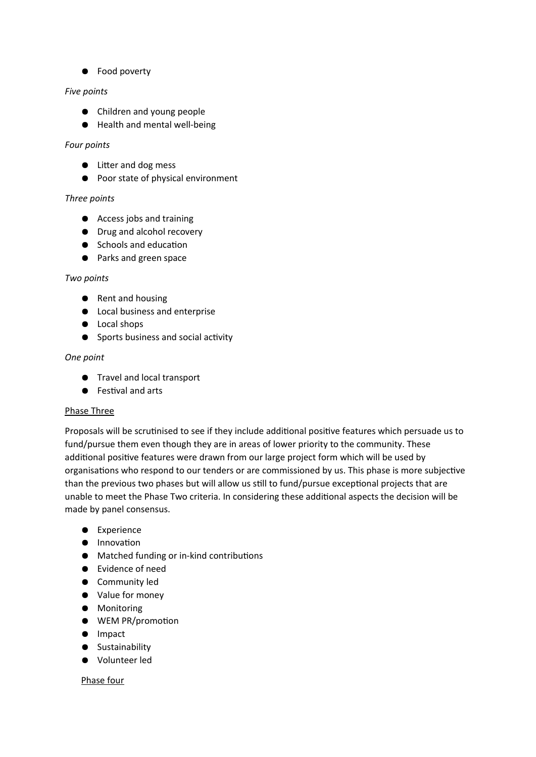● Food poverty

### *Five points*

- Children and young people
- Health and mental well-being

### *Four points*

- Litter and dog mess
- Poor state of physical environment

## *Three points*

- Access jobs and training
- Drug and alcohol recovery
- Schools and education
- Parks and green space

### *Two points*

- Rent and housing
- Local business and enterprise
- Local shops
- Sports business and social activity

## *One point*

- Travel and local transport
- Festival and arts

### Phase Three

Proposals will be scrutinised to see if they include additional positive features which persuade us to fund/pursue them even though they are in areas of lower priority to the community. These additional positive features were drawn from our large project form which will be used by organisations who respond to our tenders or are commissioned by us. This phase is more subjective than the previous two phases but will allow us still to fund/pursue exceptional projects that are unable to meet the Phase Two criteria. In considering these additional aspects the decision will be made by panel consensus.

- Experience
- Innovation
- Matched funding or in-kind contributions
- Evidence of need
- Community led
- Value for money
- Monitoring
- WEM PR/promotion
- Impact
- Sustainability
- Volunteer led

### Phase four